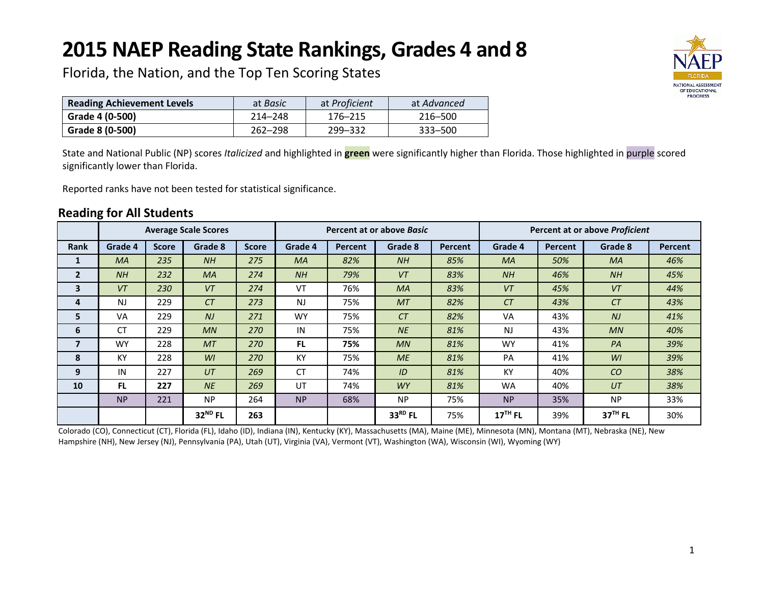# **2015 NAEP Reading State Rankings, Grades 4 and 8**



Florida, the Nation, and the Top Ten Scoring States

| <b>Reading Achievement Levels</b> | at <i>Basic</i> | at Proficient | at Advanced |
|-----------------------------------|-----------------|---------------|-------------|
| Grade 4 (0-500)                   | 214-248         | 176–215       | 216–500     |
| Grade 8 (0-500)                   | $262 - 298$     | 299 - 332     | 333–500     |

State and National Public (NP) scores *Italicized* and highlighted in **green** were significantly higher than Florida. Those highlighted in purple scored significantly lower than Florida.

Reported ranks have not been tested for statistical significance.

# **Reading for All Students**

|                |                |              | <b>Average Scale Scores</b> |              | Percent at or above <i>Basic</i> |                |           |                | Percent at or above Proficient |                |           |         |
|----------------|----------------|--------------|-----------------------------|--------------|----------------------------------|----------------|-----------|----------------|--------------------------------|----------------|-----------|---------|
| <b>Rank</b>    | Grade 4        | <b>Score</b> | Grade 8                     | <b>Score</b> | Grade 4                          | <b>Percent</b> | Grade 8   | <b>Percent</b> | Grade 4                        | <b>Percent</b> | Grade 8   | Percent |
| 1              | <b>MA</b>      | 235          | NH                          | 275          | <b>MA</b>                        | 82%            | NH        | 85%            | <b>MA</b>                      | 50%            | <b>MA</b> | 46%     |
| $\overline{2}$ | NH             | 232          | <b>MA</b>                   | 274          | NH                               | 79%            | VT        | 83%            | NH                             | 46%            | NH        | 45%     |
| 3              | VT             | 230          | VT                          | 274          | VT                               | 76%            | <b>MA</b> | 83%            | VT                             | 45%            | VT        | 44%     |
| 4              | N <sub>J</sub> | 229          | CT                          | 273          | <b>NJ</b>                        | 75%            | <b>MT</b> | 82%            | CT                             | 43%            | CT        | 43%     |
| 5              | <b>VA</b>      | 229          | N <sub>J</sub>              | 271          | <b>WY</b>                        | 75%            | CT        | 82%            | VA                             | 43%            | NJ        | 41%     |
| 6              | <b>CT</b>      | 229          | MN                          | 270          | IN                               | 75%            | <b>NE</b> | 81%            | <b>NJ</b>                      | 43%            | MN        | 40%     |
| 7              | <b>WY</b>      | 228          | <b>MT</b>                   | 270          | <b>FL</b>                        | 75%            | MN        | 81%            | <b>WY</b>                      | 41%            | PA        | 39%     |
| 8              | KY             | 228          | WI                          | 270          | KY                               | 75%            | ME        | 81%            | PA                             | 41%            | WI        | 39%     |
| 9              | IN             | 227          | UT                          | 269          | <b>CT</b>                        | 74%            | ID        | 81%            | KY                             | 40%            | CO        | 38%     |
| 10             | <b>FL</b>      | 227          | <b>NE</b>                   | 269          | UT                               | 74%            | <b>WY</b> | 81%            | <b>WA</b>                      | 40%            | UT        | 38%     |
|                | <b>NP</b>      | 221          | <b>NP</b>                   | 264          | <b>NP</b>                        | 68%            | <b>NP</b> | 75%            | <b>NP</b>                      | 35%            | <b>NP</b> | 33%     |
|                |                |              | 32 <sup>ND</sup> FL         | 263          |                                  |                | 33RD FL   | 75%            | $17TH$ FL                      | 39%            | $37TH$ FL | 30%     |

Colorado (CO), Connecticut (CT), Florida (FL), Idaho (ID), Indiana (IN), Kentucky (KY), Massachusetts (MA), Maine (ME), Minnesota (MN), Montana (MT), Nebraska (NE), New Hampshire (NH), New Jersey (NJ), Pennsylvania (PA), Utah (UT), Virginia (VA), Vermont (VT), Washington (WA), Wisconsin (WI), Wyoming (WY)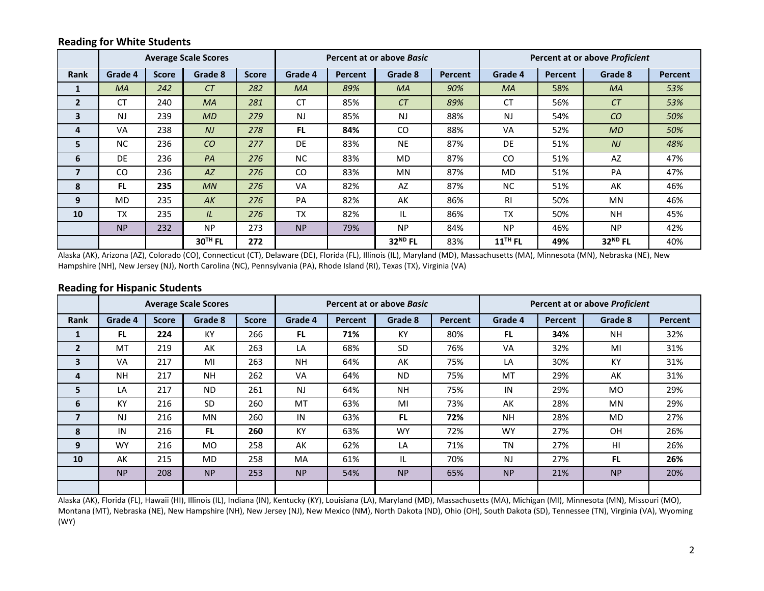## **Reading for White Students**

|                |           |              | <b>Average Scale Scores</b> |              | Percent at or above Basic |                |                     |                | <b>Percent at or above Proficient</b> |                |                     |         |
|----------------|-----------|--------------|-----------------------------|--------------|---------------------------|----------------|---------------------|----------------|---------------------------------------|----------------|---------------------|---------|
| <b>Rank</b>    | Grade 4   | <b>Score</b> | Grade 8                     | <b>Score</b> | Grade 4                   | <b>Percent</b> | Grade 8             | <b>Percent</b> | Grade 4                               | <b>Percent</b> | Grade 8             | Percent |
| $\mathbf{1}$   | <b>MA</b> | 242          | CT                          | 282          | <b>MA</b>                 | 89%            | <b>MA</b>           | 90%            | <b>MA</b>                             | 58%            | <b>MA</b>           | 53%     |
| $\overline{2}$ | <b>CT</b> | 240          | <b>MA</b>                   | 281          | <b>CT</b>                 | 85%            | CT                  | 89%            | <b>CT</b>                             | 56%            | CT                  | 53%     |
| 3              | <b>NJ</b> | 239          | MD                          | 279          | <b>NJ</b>                 | 85%            | <b>NJ</b>           | 88%            | <b>NJ</b>                             | 54%            | CO                  | 50%     |
| 4              | VA        | 238          | N <sub>J</sub>              | 278          | <b>FL</b>                 | 84%            | CO.                 | 88%            | VA                                    | 52%            | MD                  | 50%     |
| 5              | <b>NC</b> | 236          | CO                          | 277          | DE                        | 83%            | <b>NE</b>           | 87%            | DE                                    | 51%            | N <sub>J</sub>      | 48%     |
| 6              | DE        | 236          | PA                          | 276          | <b>NC</b>                 | 83%            | <b>MD</b>           | 87%            | CO                                    | 51%            | <b>AZ</b>           | 47%     |
| 7              | CO        | 236          | $A\overline{Z}$             | 276          | CO                        | 83%            | <b>MN</b>           | 87%            | <b>MD</b>                             | 51%            | PA                  | 47%     |
| 8              | <b>FL</b> | 235          | MN                          | 276          | VA                        | 82%            | AZ                  | 87%            | NC.                                   | 51%            | AK                  | 46%     |
| 9              | <b>MD</b> | 235          | AK                          | 276          | PA                        | 82%            | AK                  | 86%            | <b>RI</b>                             | 50%            | <b>MN</b>           | 46%     |
| 10             | <b>TX</b> | 235          | IL                          | 276          | <b>TX</b>                 | 82%            | IL.                 | 86%            | <b>TX</b>                             | 50%            | <b>NH</b>           | 45%     |
|                | <b>NP</b> | 232          | <b>NP</b>                   | 273          | <b>NP</b>                 | 79%            | <b>NP</b>           | 84%            | <b>NP</b>                             | 46%            | <b>NP</b>           | 42%     |
|                |           |              | $30TH$ FL                   | 272          |                           |                | 32 <sup>ND</sup> FL | 83%            | $11$ <sup>TH</sup> FL                 | 49%            | 32 <sup>ND</sup> FL | 40%     |

Alaska (AK), Arizona (AZ), Colorado (CO), Connecticut (CT), Delaware (DE), Florida (FL), Illinois (IL), Maryland (MD), Massachusetts (MA), Minnesota (MN), Nebraska (NE), New Hampshire (NH), New Jersey (NJ), North Carolina (NC), Pennsylvania (PA), Rhode Island (RI), Texas (TX), Virginia (VA)

#### **Reading for Hispanic Students**

|                |           |              | <b>Average Scale Scores</b> |              | Percent at or above <i>Basic</i> |                |           |         | Percent at or above Proficient |         |           |         |
|----------------|-----------|--------------|-----------------------------|--------------|----------------------------------|----------------|-----------|---------|--------------------------------|---------|-----------|---------|
| <b>Rank</b>    | Grade 4   | <b>Score</b> | Grade 8                     | <b>Score</b> | Grade 4                          | <b>Percent</b> | Grade 8   | Percent | Grade 4                        | Percent | Grade 8   | Percent |
| 1              | <b>FL</b> | 224          | KY                          | 266          | FL.                              | 71%            | KY        | 80%     | <b>FL</b>                      | 34%     | <b>NH</b> | 32%     |
| $\overline{2}$ | MT        | 219          | AK                          | 263          | LA                               | 68%            | <b>SD</b> | 76%     | VA                             | 32%     | MI        | 31%     |
| 3              | VA        | 217          | MI                          | 263          | <b>NH</b>                        | 64%            | AK        | 75%     | LA                             | 30%     | KY        | 31%     |
| 4              | <b>NH</b> | 217          | <b>NH</b>                   | 262          | <b>VA</b>                        | 64%            | <b>ND</b> | 75%     | MT                             | 29%     | AK        | 31%     |
| 5              | LA        | 217          | <b>ND</b>                   | 261          | <b>NJ</b>                        | 64%            | <b>NH</b> | 75%     | IN                             | 29%     | <b>MO</b> | 29%     |
| 6              | KY        | 216          | <b>SD</b>                   | 260          | MT                               | 63%            | MI        | 73%     | AK                             | 28%     | <b>MN</b> | 29%     |
| $\overline{7}$ | NJ        | 216          | <b>MN</b>                   | 260          | IN                               | 63%            | <b>FL</b> | 72%     | <b>NH</b>                      | 28%     | <b>MD</b> | 27%     |
| 8              | IN        | 216          | <b>FL</b>                   | 260          | KY                               | 63%            | <b>WY</b> | 72%     | <b>WY</b>                      | 27%     | OH        | 26%     |
| 9              | <b>WY</b> | 216          | <b>MO</b>                   | 258          | AK                               | 62%            | LA        | 71%     | <b>TN</b>                      | 27%     | HI        | 26%     |
| 10             | AK        | 215          | <b>MD</b>                   | 258          | <b>MA</b>                        | 61%            | IL        | 70%     | <b>NJ</b>                      | 27%     | FL.       | 26%     |
|                | <b>NP</b> | 208          | <b>NP</b>                   | 253          | <b>NP</b>                        | 54%            | <b>NP</b> | 65%     | <b>NP</b>                      | 21%     | <b>NP</b> | 20%     |
|                |           |              |                             |              |                                  |                |           |         |                                |         |           |         |

Alaska (AK), Florida (FL), Hawaii (HI), Illinois (IL), Indiana (IN), Kentucky (KY), Louisiana (LA), Maryland (MD), Massachusetts (MA), Michigan (MI), Minnesota (MN), Missouri (MO), Montana (MT), Nebraska (NE), New Hampshire (NH), New Jersey (NJ), New Mexico (NM), North Dakota (ND), Ohio (OH), South Dakota (SD), Tennessee (TN), Virginia (VA), Wyoming (WY)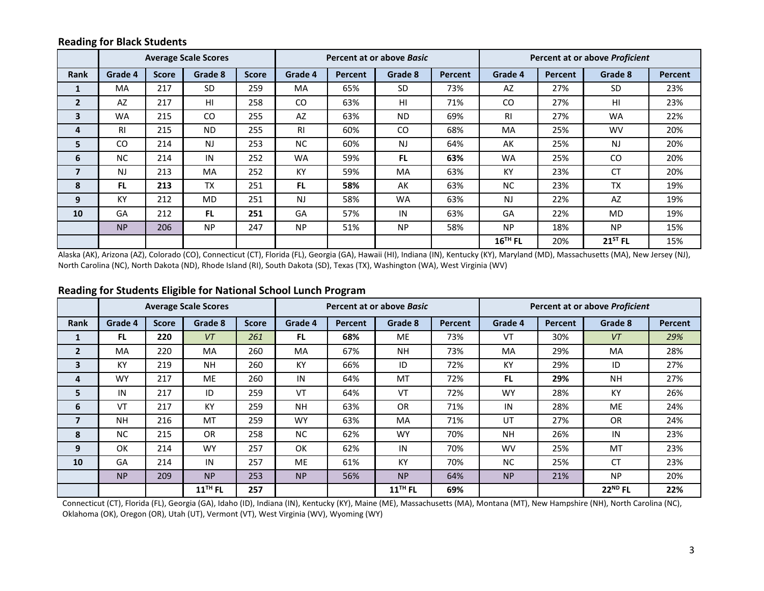#### **Reading for Black Students**

|                |                |              | <b>Average Scale Scores</b> |              | Percent at or above Basic |         |           |                | Percent at or above Proficient |                |              |                |
|----------------|----------------|--------------|-----------------------------|--------------|---------------------------|---------|-----------|----------------|--------------------------------|----------------|--------------|----------------|
| <b>Rank</b>    | Grade 4        | <b>Score</b> | Grade 8                     | <b>Score</b> | Grade 4                   | Percent | Grade 8   | <b>Percent</b> | Grade 4                        | <b>Percent</b> | Grade 8      | <b>Percent</b> |
| 1              | <b>MA</b>      | 217          | <b>SD</b>                   | 259          | <b>MA</b>                 | 65%     | <b>SD</b> | 73%            | AZ                             | 27%            | <b>SD</b>    | 23%            |
| $\overline{2}$ | AZ             | 217          | HI                          | 258          | CO                        | 63%     | HI        | 71%            | CO                             | 27%            | HI           | 23%            |
| 3              | <b>WA</b>      | 215          | CO.                         | 255          | AZ                        | 63%     | <b>ND</b> | 69%            | -RI                            | 27%            | <b>WA</b>    | 22%            |
| 4              | <b>RI</b>      | 215          | <b>ND</b>                   | 255          | R <sub>l</sub>            | 60%     | CO.       | 68%            | <b>MA</b>                      | 25%            | <b>WV</b>    | 20%            |
| 5              | <b>CO</b>      | 214          | <b>NJ</b>                   | 253          | NC.                       | 60%     | <b>NJ</b> | 64%            | AK                             | 25%            | <b>NJ</b>    | 20%            |
| 6              | <b>NC</b>      | 214          | IN                          | 252          | <b>WA</b>                 | 59%     | <b>FL</b> | 63%            | <b>WA</b>                      | 25%            | CO.          | 20%            |
| $\overline{7}$ | N <sub>J</sub> | 213          | <b>MA</b>                   | 252          | KY                        | 59%     | MA        | 63%            | KY                             | 23%            | <b>CT</b>    | 20%            |
| 8              | <b>FL</b>      | 213          | <b>TX</b>                   | 251          | FL.                       | 58%     | AK        | 63%            | <b>NC</b>                      | 23%            | <b>TX</b>    | 19%            |
| 9              | KY             | 212          | <b>MD</b>                   | 251          | <b>NJ</b>                 | 58%     | <b>WA</b> | 63%            | <b>NJ</b>                      | 22%            | AZ           | 19%            |
| 10             | GA             | 212          | <b>FL</b>                   | 251          | GA                        | 57%     | IN        | 63%            | GA                             | 22%            | <b>MD</b>    | 19%            |
|                | <b>NP</b>      | 206          | <b>NP</b>                   | 247          | <b>NP</b>                 | 51%     | <b>NP</b> | 58%            | <b>NP</b>                      | 18%            | <b>NP</b>    | 15%            |
|                |                |              |                             |              |                           |         |           |                | $16^{\text{TH}}$ FL            | 20%            | $21^{5T}$ FL | 15%            |

Alaska (AK), Arizona (AZ), Colorado (CO), Connecticut (CT), Florida (FL), Georgia (GA), Hawaii (HI), Indiana (IN), Kentucky (KY), Maryland (MD), Massachusetts (MA), New Jersey (NJ), North Carolina (NC), North Dakota (ND), Rhode Island (RI), South Dakota (SD), Texas (TX), Washington (WA), West Virginia (WV)

|                         |           |              | <b>Average Scale Scores</b> |              | Percent at or above Basic |                |                     |                | Percent at or above Proficient |                |                     |                |
|-------------------------|-----------|--------------|-----------------------------|--------------|---------------------------|----------------|---------------------|----------------|--------------------------------|----------------|---------------------|----------------|
| <b>Rank</b>             | Grade 4   | <b>Score</b> | Grade 8                     | <b>Score</b> | Grade 4                   | <b>Percent</b> | Grade 8             | <b>Percent</b> | Grade 4                        | <b>Percent</b> | Grade 8             | <b>Percent</b> |
| 1                       | FL.       | 220          | VT                          | 261          | FL.                       | 68%            | <b>ME</b>           | 73%            | VT                             | 30%            | VT                  | 29%            |
| $\overline{2}$          | MA        | 220          | <b>MA</b>                   | 260          | <b>MA</b>                 | 67%            | <b>NH</b>           | 73%            | <b>MA</b>                      | 29%            | MA                  | 28%            |
| 3                       | KY        | 219          | <b>NH</b>                   | 260          | KY                        | 66%            | ID                  | 72%            | KY                             | 29%            | ID                  | 27%            |
| 4                       | <b>WY</b> | 217          | <b>ME</b>                   | 260          | IN                        | 64%            | MT                  | 72%            | <b>FL</b>                      | 29%            | <b>NH</b>           | 27%            |
| 5                       | IN        | 217          | ID                          | 259          | VT                        | 64%            | VT                  | 72%            | <b>WY</b>                      | 28%            | KY                  | 26%            |
| 6                       | VT        | 217          | KY                          | 259          | <b>NH</b>                 | 63%            | <b>OR</b>           | 71%            | IN                             | 28%            | <b>ME</b>           | 24%            |
| $\overline{\mathbf{z}}$ | <b>NH</b> | 216          | MT                          | 259          | <b>WY</b>                 | 63%            | MA                  | 71%            | UT                             | 27%            | <b>OR</b>           | 24%            |
| 8                       | <b>NC</b> | 215          | <b>OR</b>                   | 258          | <b>NC</b>                 | 62%            | <b>WY</b>           | 70%            | <b>NH</b>                      | 26%            | IN                  | 23%            |
| 9                       | OK        | 214          | <b>WY</b>                   | 257          | OK                        | 62%            | IN                  | 70%            | <b>WV</b>                      | 25%            | MT                  | 23%            |
| 10                      | GA        | 214          | IN                          | 257          | <b>ME</b>                 | 61%            | KY                  | 70%            | NC.                            | 25%            | <b>CT</b>           | 23%            |
|                         | <b>NP</b> | 209          | <b>NP</b>                   | 253          | <b>NP</b>                 | 56%            | <b>NP</b>           | 64%            | <b>NP</b>                      | 21%            | <b>NP</b>           | 20%            |
|                         |           |              | $11$ <sup>TH</sup> FL       | 257          |                           |                | 11 <sup>TH</sup> FL | 69%            |                                |                | 22 <sup>ND</sup> FL | 22%            |

## **Reading for Students Eligible for National School Lunch Program**

Connecticut (CT), Florida (FL), Georgia (GA), Idaho (ID), Indiana (IN), Kentucky (KY), Maine (ME), Massachusetts (MA), Montana (MT), New Hampshire (NH), North Carolina (NC), Oklahoma (OK), Oregon (OR), Utah (UT), Vermont (VT), West Virginia (WV), Wyoming (WY)